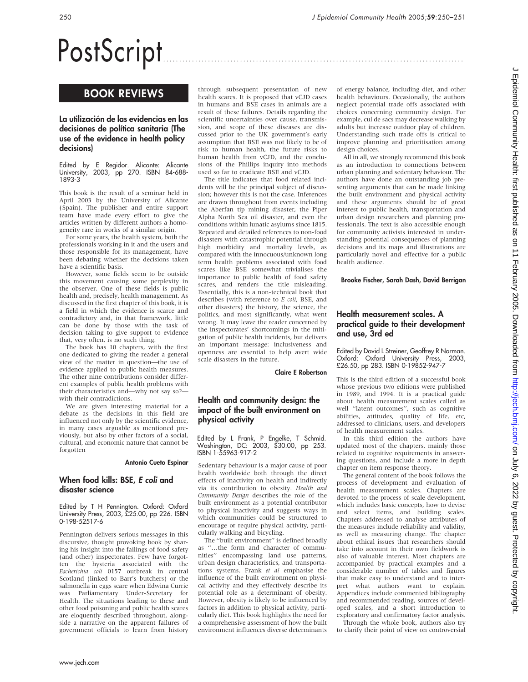# PostScript

# BOOK REVIEWS

## La utilización de las evidencias en las decisiones de política sanitaria (The use of the evidence in health policy decisions)

Edited by E Regidor. Alicante: Alicante University, 2003, pp 270. ISBN 84-688- 1893-3

This book is the result of a seminar held in April 2003 by the University of Alicante (Spain). The publisher and entire support team have made every effort to give the articles written by different authors a homogeneity rare in works of a similar origin.

For some years, the health system, both the professionals working in it and the users and those responsible for its management, have been debating whether the decisions taken have a scientific basis.

However, some fields seem to be outside this movement causing some perplexity in the observer. One of these fields is public health and, precisely, health management. As discussed in the first chapter of this book, it is a field in which the evidence is scarce and contradictory and, in that framework, little can be done by those with the task of decision taking to give support to evidence that, very often, is no such thing.

The book has 10 chapters, with the first one dedicated to giving the reader a general view of the matter in question—the use of evidence applied to public health measures. The other nine contributions consider different examples of public health problems with their characteristics and—why not say so? with their contradictions.

We are given interesting material for a debate as the decisions in this field are influenced not only by the scientific evidence, in many cases arguable as mentioned previously, but also by other factors of a social, cultural, and economic nature that cannot be forgotten

#### Antonio Cueto Espinar

### When food kills: BSE, E coli and disaster science

Edited by T H Pennington. Oxford: Oxford University Press, 2003, £25.00, pp 226. ISBN 0-198-52517-6

Pennington delivers serious messages in this discursive, thought provoking book by sharing his insight into the failings of food safety (and other) inspectorates. Few have forgotten the hysteria associated with the Escherichia coli 0157 outbreak in central Scotland (linked to Barr's butchers) or the salmonella in eggs scare when Edwina Currie was Parliamentary Under-Secretary for Health. The situations leading to these and other food poisoning and public health scares are eloquently described throughout, alongside a narrative on the apparent failures of government officials to learn from history

through subsequent presentation of new health scares. It is proposed that vCJD cases in humans and BSE cases in animals are a result of these failures. Details regarding the scientific uncertainties over cause, transmission, and scope of these diseases are discussed prior to the UK government's early assumption that BSE was not likely to be of risk to human health, the future risks to human health from vCJD, and the conclusions of the Phillips inquiry into methods used so far to eradicate BSE and vCJD.

The title indicates that food related incidents will be the principal subject of discussion; however this is not the case. Inferences are drawn throughout from events including the Aberfan tip mining disaster, the Piper Alpha North Sea oil disaster, and even the conditions within lunatic asylums since 1815. Repeated and detailed references to non-food disasters with catastrophic potential through high morbidity and mortality levels, as compared with the innocuous/unknown long term health problems associated with food scares like BSE somewhat trivialises the importance to public health of food safety scares, and renders the title misleading. Essentially, this is a non-technical book that describes (with reference to E coli, BSE, and other disasters) the history, the science, the politics, and most significantly, what went wrong. It may leave the reader concerned by the inspectorates' shortcomings in the mitigation of public health incidents, but delivers an important message: inclusiveness and openness are essential to help avert wide scale disasters in the future.

Claire E Robertson

## Health and community design: the impact of the built environment on physical activity

Edited by L Frank, P Engelke, T Schmid. Washington, DC: 2003, \$30.00, pp 253. ISBN 1-55963-917-2

Sedentary behaviour is a major cause of poor health worldwide both through the direct effects of inactivity on health and indirectly via its contribution to obesity. Health and Community Design describes the role of the built environment as a potential contributor to physical inactivity and suggests ways in which communities could be structured to encourage or require physical activity, particularly walking and bicycling.

The ''built environment'' is defined broadly as ''…the form and character of communities'' encompassing land use patterns, urban design characteristics, and transportations systems. Frank et al emphasise the influence of the built environment on physical activity and they effectively describe its potential role as a determinant of obesity. However, obesity is likely to be influenced by factors in addition to physical activity, particularly diet. This book highlights the need for a comprehensive assessment of how the built environment influences diverse determinants of energy balance, including diet, and other health behaviours. Occasionally, the authors neglect potential trade offs associated with choices concerning community design. For example, cul de sacs may decrease walking by adults but increase outdoor play of children. Understanding such trade offs is critical to improve planning and prioritisation among design choices.

All in all, we strongly recommend this book as an introduction to connections between urban planning and sedentary behaviour. The authors have done an outstanding job presenting arguments that can be made linking the built environment and physical activity and these arguments should be of great interest to public health, transportation and urban design researchers and planning professionals. The text is also accessible enough for community activists interested in understanding potential consequences of planning decisions and its maps and illustrations are particularly novel and effective for a public health audience.

Brooke Fischer, Sarah Dash, David Berrigan

# Health measurement scales. A practical guide to their development and use, 3rd ed

Edited by David L Streiner, Geoffrey R Norman. Oxford: Oxford University Press, 2003, £26.50, pp 283. ISBN 0-19852-947-7

This is the third edition of a successful book whose previous two editions were published in 1989, and 1994. It is a practical guide about health measurement scales called as well ''latent outcomes'', such as cognitive abilities, attitudes, quality of life, etc, addressed to clinicians, users. and developers of health measurement scales.

In this third edition the authors have updated most of the chapters, mainly those related to cognitive requirements in answering questions, and include a more in depth chapter on item response theory.

The general content of the book follows the process of development and evaluation of health measurement scales. Chapters are devoted to the process of scale development, which includes basic concepts, how to devise and select items, and building scales. Chapters addressed to analyse attributes of the measures include reliability and validity, as well as measuring change. The chapter about ethical issues that researchers should take into account in their own fieldwork is also of valuable interest. Most chapters are accompanied by practical examples and a considerable number of tables and figures that make easy to understand and to interpret what authors want to explain. Appendices include commented bibliography and recommended reading, sources of developed scales, and a short introduction to exploratory and confirmatory factor analysis.

Through the whole book, authors also try to clarify their point of view on controversial